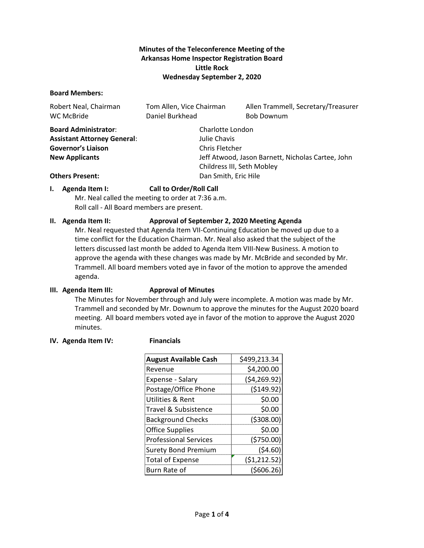# **Minutes of the Teleconference Meeting of the Arkansas Home Inspector Registration Board Little Rock Wednesday September 2, 2020**

#### **Board Members:**

| Robert Neal, Chairman<br>WC McBride | Tom Allen, Vice Chairman<br>Daniel Burkhead | Allen Trammell, Secretary/Treasurer<br><b>Bob Downum</b> |  |
|-------------------------------------|---------------------------------------------|----------------------------------------------------------|--|
| <b>Board Administrator:</b>         | Charlotte London                            |                                                          |  |
| <b>Assistant Attorney General:</b>  | Julie Chavis                                |                                                          |  |
| <b>Governor's Liaison</b>           | Chris Fletcher                              |                                                          |  |
| <b>New Applicants</b>               |                                             | Jeff Atwood, Jason Barnett, Nicholas Cartee, John        |  |
| Childress III, Seth Mobley          |                                             |                                                          |  |
| <b>Others Present:</b>              |                                             | Dan Smith, Eric Hile                                     |  |

## **I. Agenda Item I: Call to Order/Roll Call**

Mr. Neal called the meeting to order at 7:36 a.m. Roll call - All Board members are present.

#### **II. Agenda Item II: Approval of September 2, 2020 Meeting Agenda**

Mr. Neal requested that Agenda Item VII-Continuing Education be moved up due to a time conflict for the Education Chairman. Mr. Neal also asked that the subject of the letters discussed last month be added to Agenda Item VIII-New Business. A motion to approve the agenda with these changes was made by Mr. McBride and seconded by Mr. Trammell. All board members voted aye in favor of the motion to approve the amended agenda.

## **III. Agenda Item III: Approval of Minutes**

The Minutes for November through and July were incomplete. A motion was made by Mr. Trammell and seconded by Mr. Downum to approve the minutes for the August 2020 board meeting. All board members voted aye in favor of the motion to approve the August 2020 minutes.

#### **IV. Agenda Item IV: Financials**

| <b>August Available Cash</b> | \$499,213.34 |  |  |
|------------------------------|--------------|--|--|
| Revenue                      | \$4,200.00   |  |  |
| Expense - Salary             | (\$4,269.92) |  |  |
| Postage/Office Phone         | (\$149.92)   |  |  |
| Utilities & Rent             | \$0.00       |  |  |
| Travel & Subsistence         | \$0.00       |  |  |
| <b>Background Checks</b>     | (5308.00)    |  |  |
| <b>Office Supplies</b>       | \$0.00       |  |  |
| <b>Professional Services</b> | (\$750.00)   |  |  |
| <b>Surety Bond Premium</b>   | (54.60)      |  |  |
| <b>Total of Expense</b>      | (\$1,212.52) |  |  |
| Burn Rate of                 | (5606.26)    |  |  |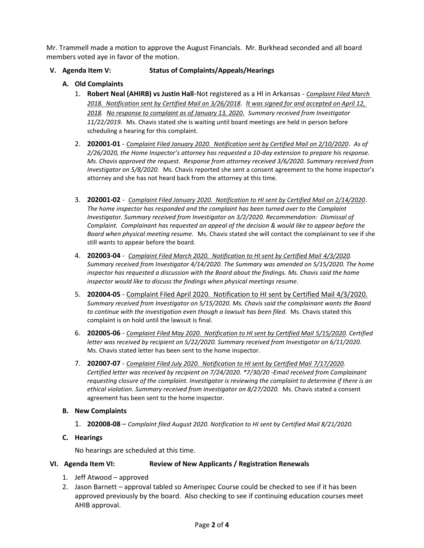Mr. Trammell made a motion to approve the August Financials. Mr. Burkhead seconded and all board members voted aye in favor of the motion.

## **V. Agenda Item V: Status of Complaints/Appeals/Hearings**

- **A. Old Complaints**
	- 1. **Robert Neal (AHIRB) vs Justin Hall**-Not registered as a HI in Arkansas *Complaint Filed March 2018. Notification sent by Certified Mail on 3/26/2018*. *It was signed for and accepted on April 12, 2018. No response to complaint as of January 13, 2020*. *Summary received from Investigator 11/22/2019*. Ms. Chavis stated she is waiting until board meetings are held in person before scheduling a hearing for this complaint.
	- 2. **202001-01** *Complaint Filed January 2020. Notification sent by Certified Mail on 2/10/2020*. *As of 2/26/2020, the Home Inspector's attorney has requested a 10-day extension to prepare his response. Ms. Chavis approved the request. Response from attorney received 3/6/2020. Summary received from Investigator on 5/8/2020.*Ms. Chavis reported she sent a consent agreement to the home inspector's attorney and she has not heard back from the attorney at this time.
	- 3. **202001-02** *Complaint Filed January 2020. Notification to HI sent by Certified Mail on 2/14/2020*. *The home inspector has responded and the complaint has been turned over to the Complaint Investigator. Summary received from Investigator on 3/2/2020. Recommendation: Dismissal of Complaint. Complainant has requested an appeal of the decision & would like to appear before the Board when physical meeting resume.* Ms. Chavis stated she will contact the complainant to see if she still wants to appear before the board.
	- 4. **202003-04** *Complaint Filed March 2020. Notification to HI sent by Certified Mail 4/3/2020. Summary received from Investigator 4/14/2020. The Summary was amended on 5/15/2020. The home inspector has requested a discussion with the Board about the findings. Ms. Chavis said the home inspector would like to discuss the findings when physical meetings resume.*
	- 5. **202004-05** Complaint Filed April 2020. Notification to HI sent by Certified Mail 4/3/2020. *Summary received from Investigator on 5/15/2020. Ms. Chavis said the complainant wants the Board*  to continue with the investigation even though a lawsuit has been filed. Ms. Chavis stated this complaint is on hold until the lawsuit is final.
	- 6. **202005-06** *Complaint Filed May 2020. Notification to HI sent by Certified Mail 5/15/2020. Certified letter was received by recipient on 5/22/2020. Summary received from Investigator on 6/11/2020.* Ms. Chavis stated letter has been sent to the home inspector.
	- 7. **202007-07** *Complaint Filed July 2020. Notification to HI sent by Certified Mail 7/17/2020. Certified letter was received by recipient on 7/24/2020. \*7/30/20 -Email received from Complainant requesting closure of the complaint. Investigator is reviewing the complaint to determine if there is an ethical violation. Summary received from investigator on 8/27/2020.* Ms. Chavis stated a consent agreement has been sent to the home inspector.
- **B. New Complaints**
	- 1. **202008-08** *Complaint filed August 2020. Notification to HI sent by Certified Mail 8/21/2020.*
- **C. Hearings**

No hearings are scheduled at this time.

## **VI. Agenda Item VI: Review of New Applicants / Registration Renewals**

- 1. Jeff Atwood approved
- 2. Jason Barnett approval tabled so Amerispec Course could be checked to see if it has been approved previously by the board. Also checking to see if continuing education courses meet AHIB approval.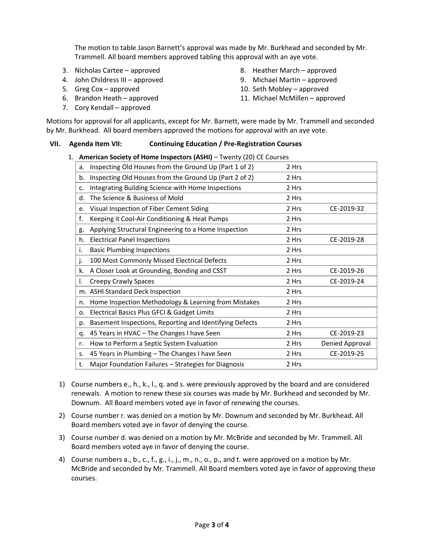The motion to table Jason Barnett's approval was made by Mr. Burkhead and seconded by Mr. Trammell. All board members approved tabling this approval with an aye vote.

- 3. Nicholas Cartee approved
- 4. John Childress III approved
- 5. Greg Cox approved
- 6. Brandon Heath approved
- 7. Cory Kendall approved
- 8. Heather March approved
- 9. Michael Martin approved
- 10. Seth Mobley approved
- 11. Michael McMillen approved

Motions for approval for all applicants, except for Mr. Barnett, were made by Mr. Trammell and seconded by Mr. Burkhead. All board members approved the motions for approval with an aye vote.

#### **VII. Agenda Item VII: Continuing Education / Pre-Registration Courses**

| 1. | American Society of Home Inspectors (ASHI) – Twenty (20) CE Courses |                                                         |       |                 |  |  |
|----|---------------------------------------------------------------------|---------------------------------------------------------|-------|-----------------|--|--|
|    | a.                                                                  | Inspecting Old Houses from the Ground Up (Part 1 of 2)  | 2 Hrs |                 |  |  |
|    | b.                                                                  | Inspecting Old Houses from the Ground Up (Part 2 of 2)  | 2 Hrs |                 |  |  |
|    | c.                                                                  | Integrating Building Science with Home Inspections      | 2 Hrs |                 |  |  |
|    | d.                                                                  | The Science & Business of Mold                          | 2 Hrs |                 |  |  |
|    | e.                                                                  | Visual Inspection of Fiber Cement Siding                | 2 Hrs | CE-2019-32      |  |  |
|    | f.                                                                  | Keeping it Cool-Air Conditioning & Heat Pumps           | 2 Hrs |                 |  |  |
|    | g.                                                                  | Applying Structural Engineering to a Home Inspection    | 2 Hrs |                 |  |  |
|    | h.                                                                  | <b>Electrical Panel Inspections</b>                     | 2 Hrs | CE-2019-28      |  |  |
|    | i.                                                                  | <b>Basic Plumbing Inspections</b>                       | 2 Hrs |                 |  |  |
|    | j.                                                                  | 100 Most Commonly Missed Electrical Defects             | 2 Hrs |                 |  |  |
|    | k.                                                                  | A Closer Look at Grounding, Bonding and CSST            | 2 Hrs | CE-2019-26      |  |  |
|    | Τ.                                                                  | Creepy Crawly Spaces                                    | 2 Hrs | CE-2019-24      |  |  |
|    |                                                                     | m. ASHI Standard Deck Inspection                        | 2 Hrs |                 |  |  |
|    | n.                                                                  | Home Inspection Methodology & Learning from Mistakes    | 2 Hrs |                 |  |  |
|    | 0.                                                                  | Electrical Basics Plus GFCI & Gadget Limits             | 2 Hrs |                 |  |  |
|    | p.                                                                  | Basement Inspections, Reporting and Identifying Defects | 2 Hrs |                 |  |  |
|    | q.                                                                  | 45 Years in HVAC - The Changes I have Seen              | 2 Hrs | CE-2019-23      |  |  |
|    | r.                                                                  | How to Perform a Septic System Evaluation               | 2 Hrs | Denied Approval |  |  |
|    | S.                                                                  | 45 Years in Plumbing - The Changes I have Seen          | 2 Hrs | CE-2019-25      |  |  |
|    | t.                                                                  | Major Foundation Failures - Strategies for Diagnosis    | 2 Hrs |                 |  |  |
|    |                                                                     |                                                         |       |                 |  |  |

- 1) Course numbers e., h., k., l., q. and s. were previously approved by the board and are considered renewals. A motion to renew these six courses was made by Mr. Burkhead and seconded by Mr. Downum. All Board members voted aye in favor of renewing the courses.
- 2) Course number r. was denied on a motion by Mr. Downum and seconded by Mr. Burkhead. All Board members voted aye in favor of denying the course.
- 3) Course number d. was denied on a motion by Mr. McBride and seconded by Mr. Trammell. All Board members voted aye in favor of denying the course.
- 4) Course numbers a., b., c., f., g., i., j., m., n., o., p., and t. were approved on a motion by Mr. McBride and seconded by Mr. Trammell. All Board members voted aye in favor of approving these courses.